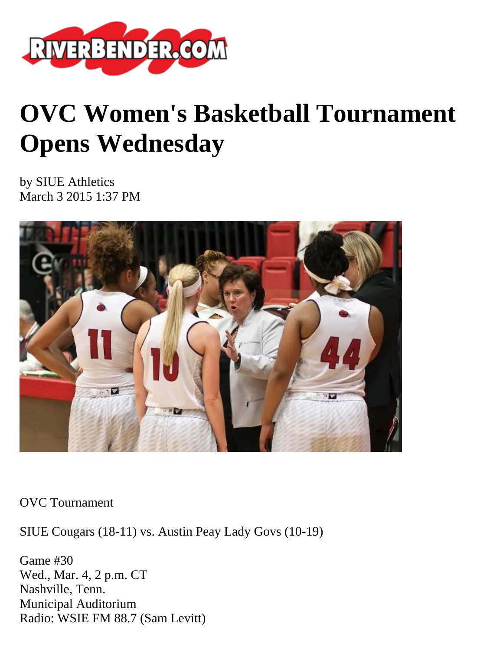

# **OVC Women's Basketball Tournament Opens Wednesday**

by SIUE Athletics March 3 2015 1:37 PM



OVC Tournament

SIUE Cougars (18-11) vs. Austin Peay Lady Govs (10-19)

Game #30 Wed., Mar. 4, 2 p.m. CT Nashville, Tenn. Municipal Auditorium Radio: WSIE FM 88.7 (Sam Levitt)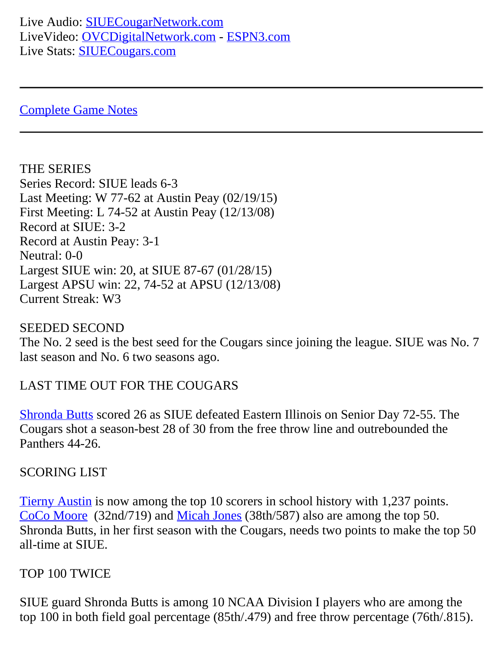Live Audio: [SIUECougarNetwork.com](http://www.siuecougarnetwork.com/) LiveVideo: [OVCDigitalNetwork.com](http://www.ovcdigitalnetwork.com/) - [ESPN3.com](http://www.espn3.com/) Live Stats: **[SIUECougars.com](http://www.siuecougars.com/sports/w-baskbl/2014-15/schedule)** 

[Complete Game Notes](http://www.siuecougars.com/sports/w-baskbl/2014-15/files/1415wbbnotes_g30.pdf)

THE SERIES Series Record: SIUE leads 6-3 Last Meeting: W 77-62 at Austin Peay (02/19/15) First Meeting: L 74-52 at Austin Peay (12/13/08) Record at SIUE: 3-2 Record at Austin Peay: 3-1 Neutral: 0-0 Largest SIUE win: 20, at SIUE 87-67 (01/28/15) Largest APSU win: 22, 74-52 at APSU (12/13/08) Current Streak: W3

## SEEDED SECOND

The No. 2 seed is the best seed for the Cougars since joining the league. SIUE was No. 7 last season and No. 6 two seasons ago.

## LAST TIME OUT FOR THE COUGARS

[Shronda Butts](http://www.siuecougars.com/sports/w-baskbl/2014-15/bios/butts_shronda_34sv) scored 26 as SIUE defeated Eastern Illinois on Senior Day 72-55. The Cougars shot a season-best 28 of 30 from the free throw line and outrebounded the Panthers 44-26.

## SCORING LIST

[Tierny Austin](http://www.siuecougars.com/sports/w-baskbl/2014-15/bios/austin_tierny_tjs2) is now among the top 10 scorers in school history with 1,237 points. [CoCo Moore](http://www.siuecougars.com/sports/w-baskbl/2014-15/bios/moore_coco_zsr4) (32nd/719) and [Micah Jones](http://www.siuecougars.com/sports/w-baskbl/2014-15/bios/jones_micah_5g85) (38th/587) also are among the top 50. Shronda Butts, in her first season with the Cougars, needs two points to make the top 50 all-time at SIUE.

## TOP 100 TWICE

SIUE guard Shronda Butts is among 10 NCAA Division I players who are among the top 100 in both field goal percentage (85th/.479) and free throw percentage (76th/.815).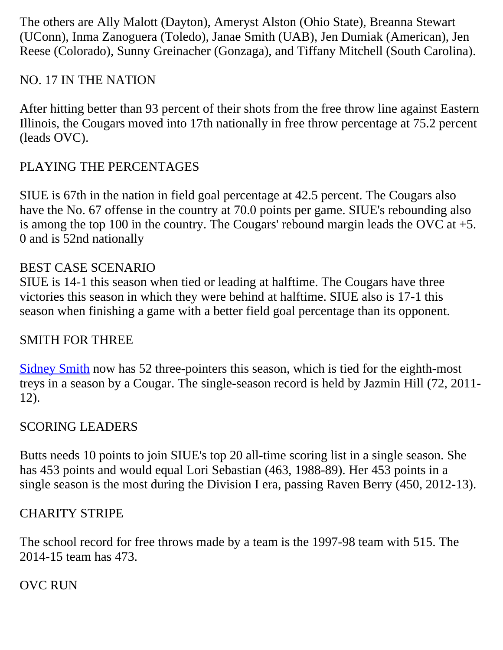The others are Ally Malott (Dayton), Ameryst Alston (Ohio State), Breanna Stewart (UConn), Inma Zanoguera (Toledo), Janae Smith (UAB), Jen Dumiak (American), Jen Reese (Colorado), Sunny Greinacher (Gonzaga), and Tiffany Mitchell (South Carolina).

## NO. 17 IN THE NATION

After hitting better than 93 percent of their shots from the free throw line against Eastern Illinois, the Cougars moved into 17th nationally in free throw percentage at 75.2 percent (leads OVC).

## PLAYING THE PERCENTAGES

SIUE is 67th in the nation in field goal percentage at 42.5 percent. The Cougars also have the No. 67 offense in the country at 70.0 points per game. SIUE's rebounding also is among the top 100 in the country. The Cougars' rebound margin leads the OVC at  $+5$ . 0 and is 52nd nationally

## BEST CASE SCENARIO

SIUE is 14-1 this season when tied or leading at halftime. The Cougars have three victories this season in which they were behind at halftime. SIUE also is 17-1 this season when finishing a game with a better field goal percentage than its opponent.

## SMITH FOR THREE

[Sidney Smith](http://www.siuecougars.com/sports/w-baskbl/2014-15/bios/smith_sidney_2cuu) now has 52 three-pointers this season, which is tied for the eighth-most treys in a season by a Cougar. The single-season record is held by Jazmin Hill (72, 2011- 12).

## SCORING LEADERS

Butts needs 10 points to join SIUE's top 20 all-time scoring list in a single season. She has 453 points and would equal Lori Sebastian (463, 1988-89). Her 453 points in a single season is the most during the Division I era, passing Raven Berry (450, 2012-13).

## CHARITY STRIPE

The school record for free throws made by a team is the 1997-98 team with 515. The 2014-15 team has 473.

## OVC RUN